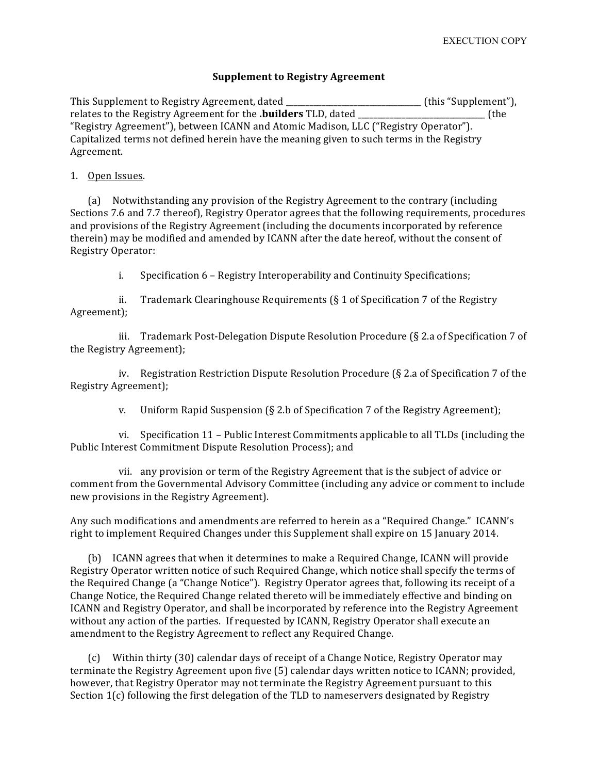## **Supplement to Registry Agreement**

This Supplement to Registry Agreement, dated \_\_\_\_\_\_\_\_\_\_\_\_\_\_\_\_\_\_\_\_\_\_\_\_\_\_\_\_\_(this "Supplement"), relates to the Registry Agreement for the **.builders** TLD, dated *COMPLERS* (the "Registry Agreement"), between ICANN and Atomic Madison, LLC ("Registry Operator"). Capitalized terms not defined herein have the meaning given to such terms in the Registry Agreement. 

## 1. Open Issues.

(a) Notwithstanding any provision of the Registry Agreement to the contrary (including Sections 7.6 and 7.7 thereof), Registry Operator agrees that the following requirements, procedures and provisions of the Registry Agreement (including the documents incorporated by reference therein) may be modified and amended by ICANN after the date hereof, without the consent of Registry Operator:

i. Specification 6 – Registry Interoperability and Continuity Specifications;

ii. Trademark Clearinghouse Requirements  $(\xi 1)$  of Specification 7 of the Registry Agreement);

iii. Trademark Post-Delegation Dispute Resolution Procedure  $(S$  2.a of Specification 7 of the Registry Agreement);

iv. Registration Restriction Dispute Resolution Procedure  $(\S$  2.a of Specification 7 of the Registry Agreement);

v. Uniform Rapid Suspension  $(\xi 2.b)$  of Specification 7 of the Registry Agreement);

vi. Specification 11 - Public Interest Commitments applicable to all TLDs (including the Public Interest Commitment Dispute Resolution Process); and

vii. any provision or term of the Registry Agreement that is the subject of advice or comment from the Governmental Advisory Committee (including any advice or comment to include new provisions in the Registry Agreement).

Any such modifications and amendments are referred to herein as a "Required Change." ICANN's right to implement Required Changes under this Supplement shall expire on 15 January 2014.

(b) ICANN agrees that when it determines to make a Required Change, ICANN will provide Registry Operator written notice of such Required Change, which notice shall specify the terms of the Required Change (a "Change Notice"). Registry Operator agrees that, following its receipt of a Change Notice, the Required Change related thereto will be immediately effective and binding on ICANN and Registry Operator, and shall be incorporated by reference into the Registry Agreement without any action of the parties. If requested by ICANN, Registry Operator shall execute an amendment to the Registry Agreement to reflect any Required Change.

(c) Within thirty (30) calendar days of receipt of a Change Notice, Registry Operator may terminate the Registry Agreement upon five (5) calendar days written notice to ICANN; provided, however, that Registry Operator may not terminate the Registry Agreement pursuant to this Section  $1(c)$  following the first delegation of the TLD to nameservers designated by Registry